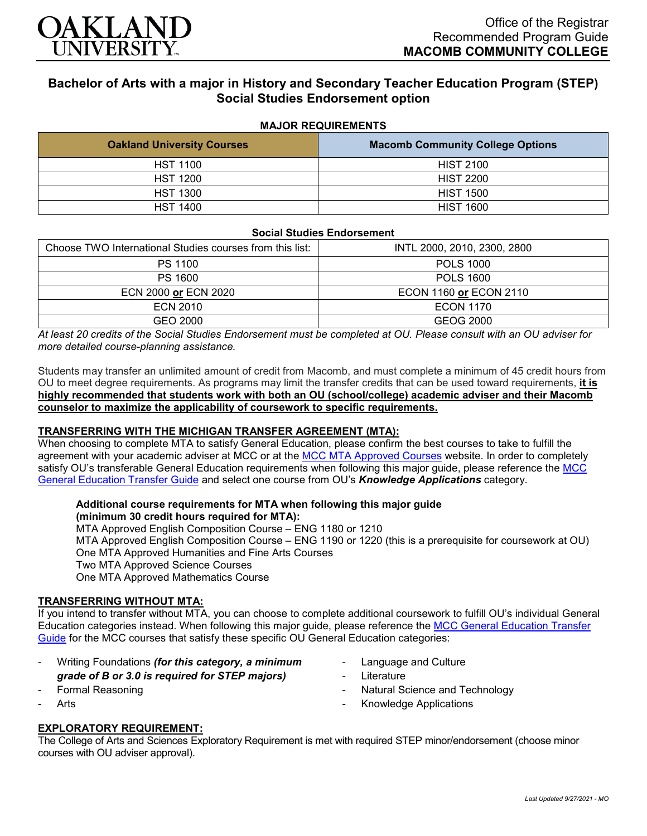

# **Bachelor of Arts with a major in History and Secondary Teacher Education Program (STEP) Social Studies Endorsement option**

#### **MAJOR REQUIREMENTS**

| <b>Oakland University Courses</b> | <b>Macomb Community College Options</b> |
|-----------------------------------|-----------------------------------------|
| <b>HST 1100</b>                   | <b>HIST 2100</b>                        |
| <b>HST 1200</b>                   | <b>HIST 2200</b>                        |
| <b>HST 1300</b>                   | <b>HIST 1500</b>                        |
| <b>HST 1400</b>                   | <b>HIST 1600</b>                        |

#### **Social Studies Endorsement**

| Choose TWO International Studies courses from this list: | INTL 2000, 2010, 2300, 2800 |
|----------------------------------------------------------|-----------------------------|
| PS 1100                                                  | <b>POLS 1000</b>            |
| PS 1600                                                  | <b>POLS 1600</b>            |
| ECN 2000 or ECN 2020                                     | ECON 1160 or ECON 2110      |
| ECN 2010                                                 | <b>ECON 1170</b>            |
| GEO 2000                                                 | GEOG 2000                   |

*At least 20 credits of the Social Studies Endorsement must be completed at OU. Please consult with an OU adviser for more detailed course-planning assistance.*

Students may transfer an unlimited amount of credit from Macomb, and must complete a minimum of 45 credit hours from OU to meet degree requirements. As programs may limit the transfer credits that can be used toward requirements, **it is highly recommended that students work with both an OU (school/college) academic adviser and their Macomb counselor to maximize the applicability of coursework to specific requirements.**

# **TRANSFERRING WITH THE MICHIGAN TRANSFER AGREEMENT (MTA):**

When choosing to complete MTA to satisfy General Education, please confirm the best courses to take to fulfill the agreement with your academic adviser at MCC or at the [MCC MTA Approved Courses](http://www.macomb.edu/resources/transfer-articulation/attachments/mta-macrao-course-list.pdf) website. In order to completely satisfy OU's transferable General Education requirements when following this major quide, please reference the MCC [General Education Transfer Guide](https://wwwp.oakland.edu/Assets/Oakland/program-guides/macomb-community-college/university-general-education-requirements/MCC%20Gen%20Ed.pdf) and select one course from OU's *Knowledge Applications* category.

#### **Additional course requirements for MTA when following this major guide**

**(minimum 30 credit hours required for MTA):** MTA Approved English Composition Course – ENG 1180 or 1210 MTA Approved English Composition Course – ENG 1190 or 1220 (this is a prerequisite for coursework at OU) One MTA Approved Humanities and Fine Arts Courses Two MTA Approved Science Courses One MTA Approved Mathematics Course

## **TRANSFERRING WITHOUT MTA:**

If you intend to transfer without MTA, you can choose to complete additional coursework to fulfill OU's individual General Education categories instead. When following this major guide, please reference the [MCC General Education Transfer](https://wwwp.oakland.edu/Assets/Oakland/program-guides/macomb-community-college/university-general-education-requirements/MCC%20Gen%20Ed.pdf)  [Guide](https://wwwp.oakland.edu/Assets/Oakland/program-guides/macomb-community-college/university-general-education-requirements/MCC%20Gen%20Ed.pdf) for the MCC courses that satisfy these specific OU General Education categories:

- Writing Foundations *(for this category, a minimum*
- *grade of B or 3.0 is required for STEP majors)*
- Formal Reasoning
- **Arts**
- Language and Culture
- **Literature**
- Natural Science and Technology
- Knowledge Applications

#### **EXPLORATORY REQUIREMENT:**

The College of Arts and Sciences Exploratory Requirement is met with required STEP minor/endorsement (choose minor courses with OU adviser approval).